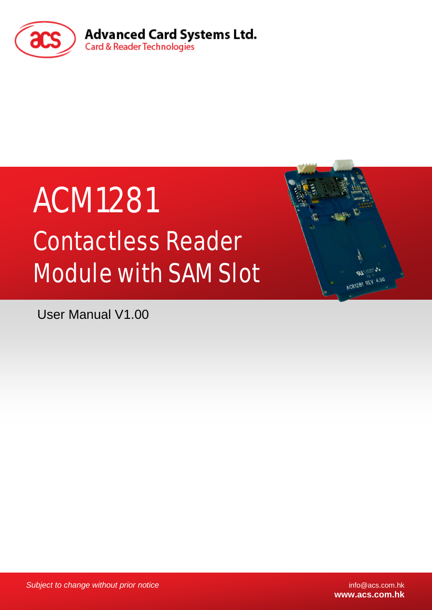

# ACM1281 Contactless Reader Module with SAM Slot

User Manual V1.00

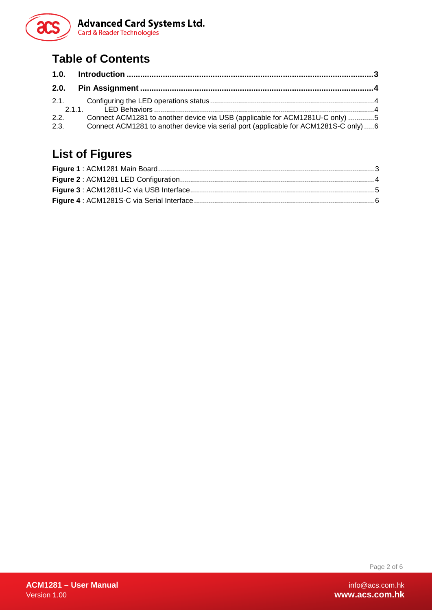

## **Table of Contents**

| 2.2.<br>2.3. | Connect ACM1281 to another device via USB (applicable for ACM1281U-C only) 5<br>Connect ACM1281 to another device via serial port (applicable for ACM1281S-C only)6 |  |
|--------------|---------------------------------------------------------------------------------------------------------------------------------------------------------------------|--|

## **List of Figures**

Page 2 of 6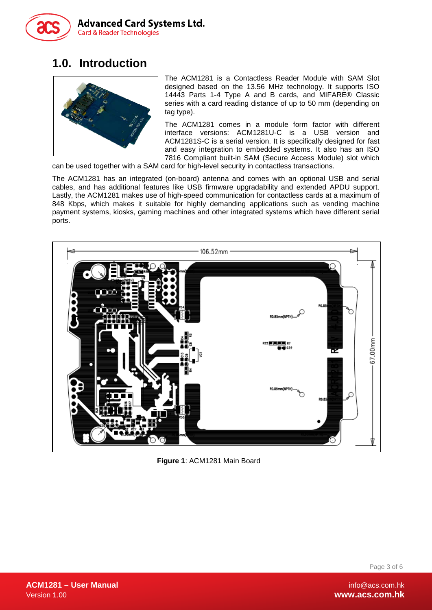

## <span id="page-2-0"></span>**1.0. Introduction**



The ACM1281 is a Contactless Reader Module with SAM Slot designed based on the 13.56 MHz technology. It supports ISO 14443 Parts 1-4 Type A and B cards, and MIFARE® Classic series with a card reading distance of up to 50 mm (depending on tag type).

The ACM1281 comes in a module form factor with different interface versions: ACM1281U-C is a USB version and ACM1281S-C is a serial version. It is specifically designed for fast and easy integration to embedded systems. It also has an ISO 7816 Compliant built-in SAM (Secure Access Module) slot which

can be used together with a SAM card for high-level security in contactless transactions.

The ACM1281 has an integrated (on-board) antenna and comes with an optional USB and serial cables, and has additional features like USB firmware upgradability and extended APDU support. Lastly, the ACM1281 makes use of high-speed communication for contactless cards at a maximum of 848 Kbps, which makes it suitable for highly demanding applications such as vending machine payment systems, kiosks, gaming machines and other integrated systems which have different serial ports.

<span id="page-2-1"></span>

**Figure 1**: ACM1281 Main Board

Page 3 of 6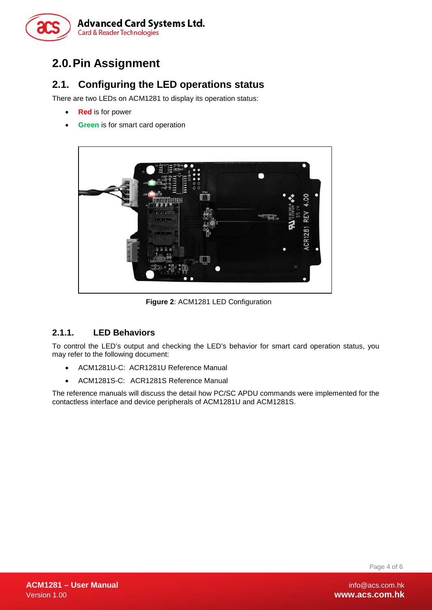

## <span id="page-3-0"></span>**2.0.Pin Assignment**

### <span id="page-3-1"></span>**2.1. Configuring the LED operations status**

There are two LEDs on ACM1281 to display its operation status:

- **Red** is for power
- **Green** is for smart card operation



**Figure 2**: ACM1281 LED Configuration

#### <span id="page-3-3"></span><span id="page-3-2"></span>**2.1.1. LED Behaviors**

To control the LED's output and checking the LED's behavior for smart card operation status, you may refer to the following document:

- ACM1281U-C: ACR1281U Reference Manual
- ACM1281S-C: ACR1281S Reference Manual

The reference manuals will discuss the detail how PC/SC APDU commands were implemented for the contactless interface and device peripherals of ACM1281U and ACM1281S.

Page 4 of 6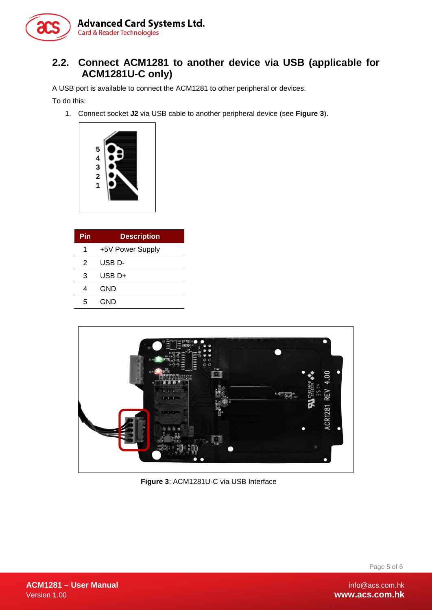

#### <span id="page-4-0"></span>**2.2. Connect ACM1281 to another device via USB (applicable for ACM1281U-C only)**

A USB port is available to connect the ACM1281 to other peripheral or devices.

To do this:

1. Connect socket **J2** via USB cable to another peripheral device (see **[Figure 3](#page-4-1)**).



| Pin | <b>Description</b> |
|-----|--------------------|
| 1   | +5V Power Supply   |
| 2   | USB D-             |
| 3   | USB D+             |
| 4   | GND                |
| 5   | GND                |

<span id="page-4-1"></span>

**Figure 3**: ACM1281U-C via USB Interface

Page 5 of 6